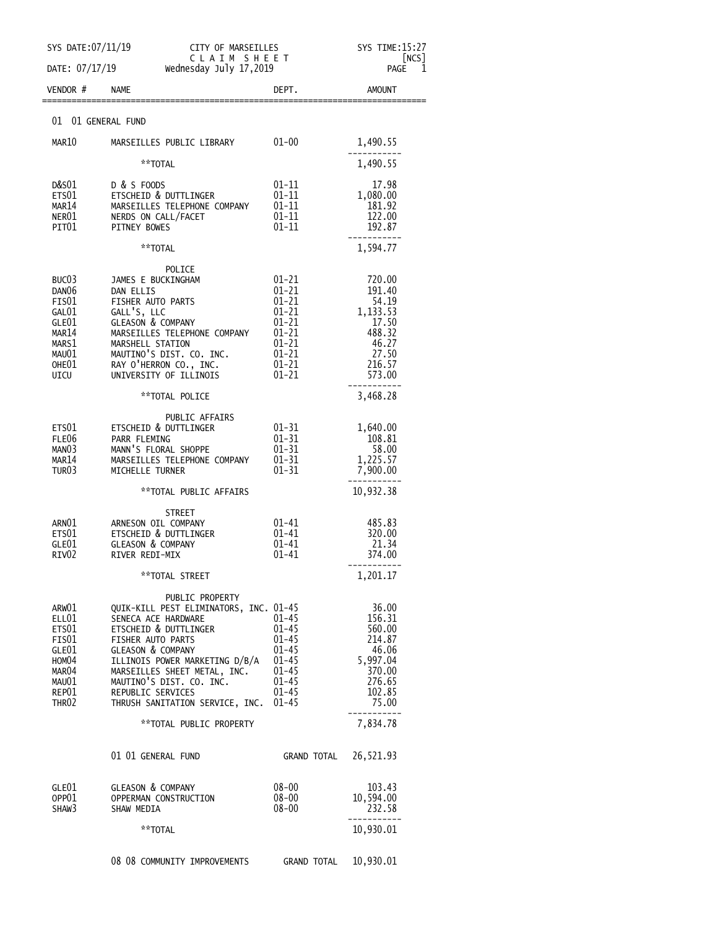|                            | SYS DATE: 07/11/19<br>CITY OF MARSEILLES<br>CLAIM SHEET       |                        | SYS TIME:15:27<br>NCS      |
|----------------------------|---------------------------------------------------------------|------------------------|----------------------------|
| DATE: 07/17/19<br>VENDOR # | Wednesday July 17,2019<br><b>NAME</b>                         | DEPT.                  | 1<br>PAGE<br><b>AMOUNT</b> |
|                            |                                                               |                        |                            |
| 01                         | 01 GENERAL FUND                                               |                        |                            |
| MAR10                      | MARSEILLES PUBLIC LIBRARY                                     | $01 - 00$              | 1,490.55                   |
|                            | **TOTAL                                                       |                        | 1,490.55                   |
| D&S01<br>ETS01             | D & S FOODS<br><b>ETSCHEID &amp; DUTTLINGER</b>               | 01-11<br>$01 - 11$     | 17.98<br>1,080.00          |
| MAR14<br>NER01             | MARSEILLES TELEPHONE COMPANY<br>NERDS ON CALL/FACET           | $01 - 11$<br>$01 - 11$ | 181.92<br>122.00           |
| PIT01                      | <b>PITNEY BOWES</b>                                           | 01-11                  | 192.87                     |
|                            | **TOTAL                                                       |                        | 1,594.77                   |
| BUC <sub>03</sub>          | POLICE<br>JAMES E BUCKINGHAM                                  | 01-21                  | 720.00                     |
| DAN <sub>06</sub>          | DAN ELLIS                                                     | 01-21                  | 191.40                     |
| FIS01<br>GAL01             | FISHER AUTO PARTS<br>GALL'S, LLC                              | $01 - 21$<br>$01 - 21$ | 54.19<br>1,133.53          |
| GLE01<br>MAR14             | <b>GLEASON &amp; COMPANY</b><br>MARSEILLES TELEPHONE COMPANY  | 01-21<br>$01 - 21$     | 17.50<br>488.32            |
| MARS1                      | MARSHELL STATION                                              | 01-21                  | 46.27                      |
| MAU01<br>OHE01             | MAUTINO'S DIST. CO. INC.<br>RAY O'HERRON CO., INC.            | $01 - 21$<br>$01 - 21$ | 27.50<br>216.57            |
| UICU                       | UNIVERSITY OF ILLINOIS                                        | $01 - 21$              | 573.00                     |
|                            | **TOTAL POLICE                                                |                        | 3,468.28                   |
| ETS01                      | PUBLIC AFFAIRS<br>ETSCHEID & DUTTLINGER                       | $01 - 31$              | 1,640.00                   |
| FLE06                      | PARR FLEMING                                                  | $01 - 31$              | 108.81                     |
| MANO3<br>MAR14             | MANN'S FLORAL SHOPPE<br>MARSEILLES TELEPHONE COMPANY          | $01 - 31$<br>$01 - 31$ | 58.00<br>1,225.57          |
| TUR03                      | MICHELLE TURNER                                               | $01 - 31$              | 7,900.00                   |
|                            | **TOTAL PUBLIC AFFAIRS                                        |                        | 10,932.38                  |
| ARN01                      | <b>STREET</b><br>ARNESON OIL COMPANY                          | $01 - 41$              | 485.83                     |
| ETS01                      | ETSCHEID & DUTTLINGER                                         | $01 - 41$              | 320.00                     |
| GLE01<br>RIV <sub>02</sub> | <b>GLEASON &amp; COMPANY</b><br>RIVER REDI-MIX                | 01-41<br>01-41         | 21.34<br>374.00            |
|                            | **TOTAL STREET                                                |                        | 1,201.17                   |
|                            | PUBLIC PROPERTY                                               |                        |                            |
| ARW01<br>ELL01             | QUIK-KILL PEST ELIMINATORS, INC. 01-45<br>SENECA ACE HARDWARE | $01 - 45$              | 36.00<br>156.31            |
| ETS01                      | <b>ETSCHEID &amp; DUTTLINGER</b>                              | $01 - 45$              | 560.00                     |
| FIS01<br>GLE01             | FISHER AUTO PARTS<br><b>GLEASON &amp; COMPANY</b>             | $01 - 45$<br>$01 - 45$ | 214.87<br>46.06            |
| HOM04                      | ILLINOIS POWER MARKETING D/B/A                                | $01 - 45$              | 5,997.04                   |
| MAR04<br>MAU01             | MARSEILLES SHEET METAL, INC.<br>MAUTINO'S DIST. CO. INC.      | $01 - 45$<br>$01 - 45$ | 370.00<br>276.65           |
| REP01<br>THR <sub>02</sub> | REPUBLIC SERVICES<br>THRUSH SANITATION SERVICE, INC.          | $01 - 45$<br>$01 - 45$ | 102.85<br>75.00            |
|                            | **TOTAL PUBLIC PROPERTY                                       |                        | 7,834.78                   |
|                            |                                                               |                        |                            |
|                            | 01 01 GENERAL FUND                                            | GRAND TOTAL            | 26,521.93                  |
| GLE01                      | <b>GLEASON &amp; COMPANY</b>                                  | $08 - 00$              | 103.43                     |
| OPP01<br>SHAW3             | OPPERMAN CONSTRUCTION<br>SHAW MEDIA                           | $08 - 00$<br>$08 - 00$ | 10,594.00<br>232.58        |
|                            | **TOTAL                                                       |                        | 10,930.01                  |
|                            | 08 08 COMMUNITY IMPROVEMENTS                                  | <b>GRAND TOTAL</b>     | 10,930.01                  |
|                            |                                                               |                        |                            |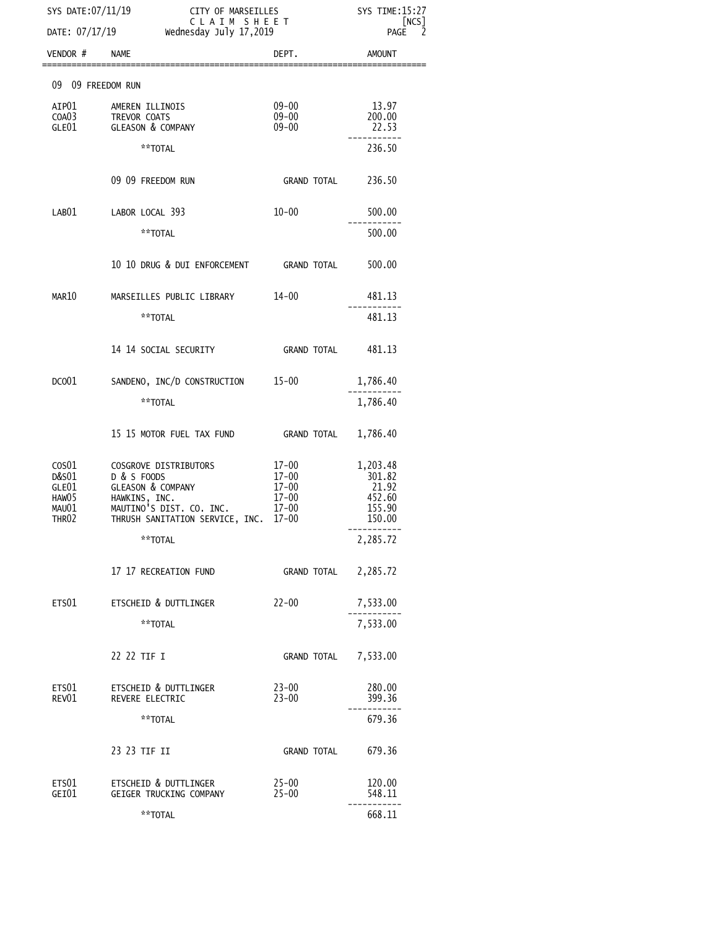| SYS DATE: 07/11/19<br>CITY OF MARSEILLES<br>CLAIM SHEET<br>DATE: 07/17/19<br>Wednesday July 17,2019 |                                                                                                                                                      |                                                                        | <b>SYS TIME:15:27</b><br>[NCS]<br>2<br><b>PAGE</b>        |
|-----------------------------------------------------------------------------------------------------|------------------------------------------------------------------------------------------------------------------------------------------------------|------------------------------------------------------------------------|-----------------------------------------------------------|
| VENDOR #                                                                                            | <b>NAME</b>                                                                                                                                          | DEPT.                                                                  | AMOUNT                                                    |
| 09 09 FREEDOM RUN                                                                                   |                                                                                                                                                      |                                                                        |                                                           |
| AIP01<br>COA03<br>GLE01                                                                             | AMEREN ILLINOIS<br>TREVOR COATS<br><b>GLEASON &amp; COMPANY</b>                                                                                      | 09-00<br>$09 - 00$<br>$09 - 00$                                        | 13.97<br>200.00<br>22.53                                  |
|                                                                                                     | **TOTAL                                                                                                                                              |                                                                        | 236.50                                                    |
|                                                                                                     | 09 09 FREEDOM RUN                                                                                                                                    | GRAND TOTAL 236.50                                                     |                                                           |
| LAB01                                                                                               | LABOR LOCAL 393                                                                                                                                      | $10 - 00$                                                              | 500.00                                                    |
|                                                                                                     | **TOTAL                                                                                                                                              |                                                                        | 500.00                                                    |
|                                                                                                     | 10 10 DRUG & DUI ENFORCEMENT GRAND TOTAL                                                                                                             |                                                                        | 500.00                                                    |
| MAR10                                                                                               | MARSEILLES PUBLIC LIBRARY                                                                                                                            | 14-00                                                                  | 481.13                                                    |
|                                                                                                     | **TOTAL                                                                                                                                              |                                                                        | 481.13                                                    |
|                                                                                                     | 14 14 SOCIAL SECURITY                                                                                                                                | GRAND TOTAL         481.13                                             |                                                           |
| DCO <sub>01</sub>                                                                                   | SANDENO, INC/D CONSTRUCTION 15-00                                                                                                                    |                                                                        | 1,786.40                                                  |
|                                                                                                     | **TOTAL                                                                                                                                              |                                                                        | 1,786.40                                                  |
|                                                                                                     | 15 15 MOTOR FUEL TAX FUND GRAND TOTAL                                                                                                                |                                                                        | 1,786.40                                                  |
| $\cos 01$<br>D&S01<br>GLE01<br>HAW05<br>MAU01<br>THR02                                              | COSGROVE DISTRIBUTORS<br>D & S FOODS<br><b>GLEASON &amp; COMPANY</b><br>HAWKINS, INC.<br>MAUTINO'S DIST. CO. INC.<br>THRUSH SANITATION SERVICE, INC. | $17 - 00$<br>$17 - 00$<br>17-00<br>$17 - 00$<br>$17 - 00$<br>$17 - 00$ | 1,203.48<br>301.82<br>21.92<br>452.60<br>155.90<br>150.00 |
|                                                                                                     | **TOTAL                                                                                                                                              |                                                                        | 2,285.72                                                  |
|                                                                                                     | 17 17 RECREATION FUND                                                                                                                                | <b>GRAND TOTAL</b>                                                     | 2,285.72                                                  |
| ETS01                                                                                               | ETSCHEID & DUTTLINGER                                                                                                                                | $22 - 00$                                                              | 7,533.00                                                  |
|                                                                                                     | **TOTAL                                                                                                                                              |                                                                        | 7,533.00                                                  |
|                                                                                                     | 22 22 TIF I                                                                                                                                          | GRAND TOTAL                                                            | 7,533.00                                                  |
| ETS01<br>REV01                                                                                      | ETSCHEID & DUTTLINGER<br>REVERE ELECTRIC                                                                                                             | $23 - 00$<br>$23 - 00$                                                 | 280.00<br>399.36                                          |
|                                                                                                     | **TOTAL                                                                                                                                              |                                                                        | 679.36                                                    |
|                                                                                                     | 23 23 TIF II                                                                                                                                         | GRAND TOTAL                                                            | 679.36                                                    |
| ETS01<br>GEI01                                                                                      | ETSCHEID & DUTTLINGER<br>GEIGER TRUCKING COMPANY                                                                                                     | $25 - 00$<br>$25 - 00$                                                 | 120.00<br>548.11                                          |
|                                                                                                     | **TOTAL                                                                                                                                              |                                                                        | 668.11                                                    |